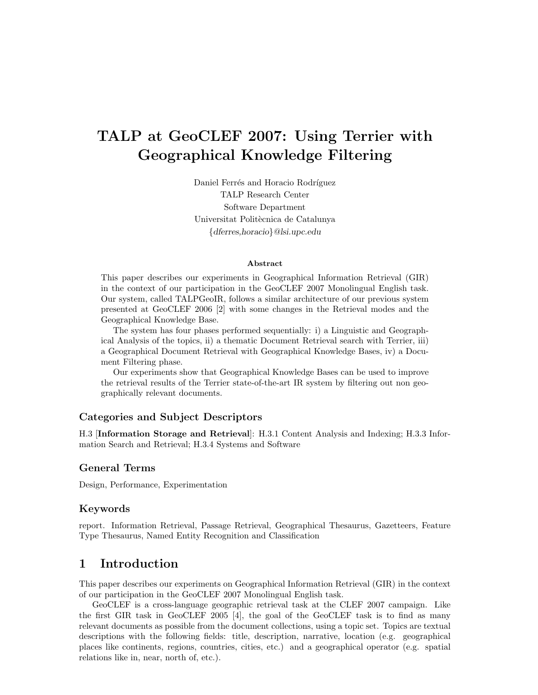# TALP at GeoCLEF 2007: Using Terrier with Geographical Knowledge Filtering

Daniel Ferrés and Horacio Rodríguez TALP Research Center Software Department Universitat Politècnica de Catalunya {dferres,horacio}@lsi.upc.edu

#### Abstract

This paper describes our experiments in Geographical Information Retrieval (GIR) in the context of our participation in the GeoCLEF 2007 Monolingual English task. Our system, called TALPGeoIR, follows a similar architecture of our previous system presented at GeoCLEF 2006 [2] with some changes in the Retrieval modes and the Geographical Knowledge Base.

The system has four phases performed sequentially: i) a Linguistic and Geographical Analysis of the topics, ii) a thematic Document Retrieval search with Terrier, iii) a Geographical Document Retrieval with Geographical Knowledge Bases, iv) a Document Filtering phase.

Our experiments show that Geographical Knowledge Bases can be used to improve the retrieval results of the Terrier state-of-the-art IR system by filtering out non geographically relevant documents.

#### Categories and Subject Descriptors

H.3 [Information Storage and Retrieval]: H.3.1 Content Analysis and Indexing; H.3.3 Information Search and Retrieval; H.3.4 Systems and Software

#### General Terms

Design, Performance, Experimentation

#### Keywords

report. Information Retrieval, Passage Retrieval, Geographical Thesaurus, Gazetteers, Feature Type Thesaurus, Named Entity Recognition and Classification

## 1 Introduction

This paper describes our experiments on Geographical Information Retrieval (GIR) in the context of our participation in the GeoCLEF 2007 Monolingual English task.

GeoCLEF is a cross-language geographic retrieval task at the CLEF 2007 campaign. Like the first GIR task in GeoCLEF 2005 [4], the goal of the GeoCLEF task is to find as many relevant documents as possible from the document collections, using a topic set. Topics are textual descriptions with the following fields: title, description, narrative, location (e.g. geographical places like continents, regions, countries, cities, etc.) and a geographical operator (e.g. spatial relations like in, near, north of, etc.).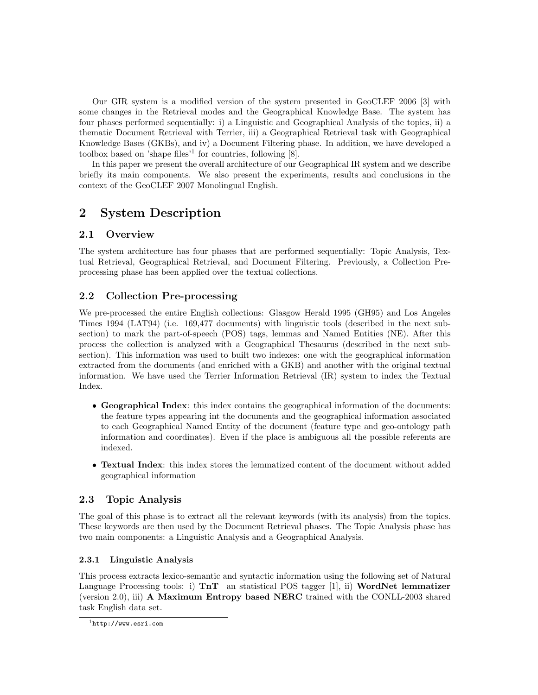Our GIR system is a modified version of the system presented in GeoCLEF 2006 [3] with some changes in the Retrieval modes and the Geographical Knowledge Base. The system has four phases performed sequentially: i) a Linguistic and Geographical Analysis of the topics, ii) a thematic Document Retrieval with Terrier, iii) a Geographical Retrieval task with Geographical Knowledge Bases (GKBs), and iv) a Document Filtering phase. In addition, we have developed a toolbox based on 'shape files'<sup>1</sup> for countries, following [8].

In this paper we present the overall architecture of our Geographical IR system and we describe briefly its main components. We also present the experiments, results and conclusions in the context of the GeoCLEF 2007 Monolingual English.

# 2 System Description

## 2.1 Overview

The system architecture has four phases that are performed sequentially: Topic Analysis, Textual Retrieval, Geographical Retrieval, and Document Filtering. Previously, a Collection Preprocessing phase has been applied over the textual collections.

## 2.2 Collection Pre-processing

We pre-processed the entire English collections: Glasgow Herald 1995 (GH95) and Los Angeles Times 1994 (LAT94) (i.e. 169,477 documents) with linguistic tools (described in the next subsection) to mark the part-of-speech (POS) tags, lemmas and Named Entities (NE). After this process the collection is analyzed with a Geographical Thesaurus (described in the next subsection). This information was used to built two indexes: one with the geographical information extracted from the documents (and enriched with a GKB) and another with the original textual information. We have used the Terrier Information Retrieval (IR) system to index the Textual Index.

- Geographical Index: this index contains the geographical information of the documents: the feature types appearing int the documents and the geographical information associated to each Geographical Named Entity of the document (feature type and geo-ontology path information and coordinates). Even if the place is ambiguous all the possible referents are indexed.
- Textual Index: this index stores the lemmatized content of the document without added geographical information

## 2.3 Topic Analysis

The goal of this phase is to extract all the relevant keywords (with its analysis) from the topics. These keywords are then used by the Document Retrieval phases. The Topic Analysis phase has two main components: a Linguistic Analysis and a Geographical Analysis.

#### 2.3.1 Linguistic Analysis

This process extracts lexico-semantic and syntactic information using the following set of Natural Language Processing tools: i)  $\text{Tr } \mathbf{T}$  an statistical POS tagger [1], ii) WordNet lemmatizer (version 2.0), iii) A Maximum Entropy based NERC trained with the CONLL-2003 shared task English data set.

<sup>1</sup>http://www.esri.com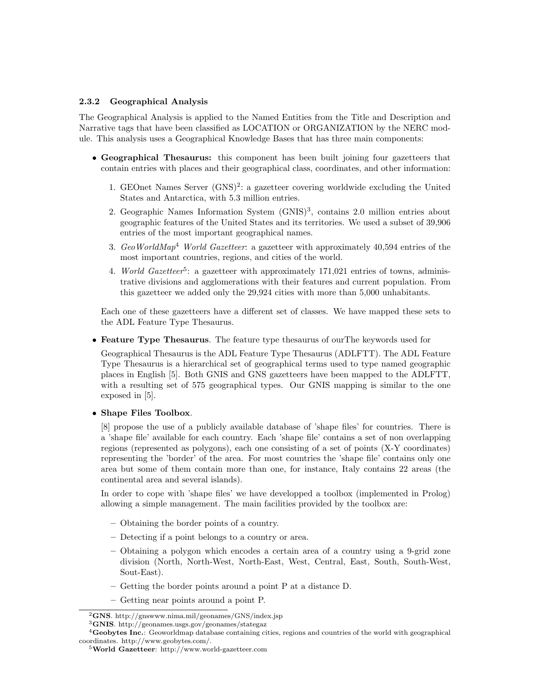#### 2.3.2 Geographical Analysis

The Geographical Analysis is applied to the Named Entities from the Title and Description and Narrative tags that have been classified as LOCATION or ORGANIZATION by the NERC module. This analysis uses a Geographical Knowledge Bases that has three main components:

- Geographical Thesaurus: this component has been built joining four gazetteers that contain entries with places and their geographical class, coordinates, and other information:
	- 1. GEOnet Names Server (GNS)<sup>2</sup>: a gazetteer covering worldwide excluding the United States and Antarctica, with 5.3 million entries.
	- 2. Geographic Names Information System (GNIS)<sup>3</sup>, contains 2.0 million entries about geographic features of the United States and its territories. We used a subset of 39,906 entries of the most important geographical names.
	- 3.  $Geo WorldMap<sup>4</sup> World Gazetter: a gazetteer with approximately 40,594 entries of the$ most important countries, regions, and cities of the world.
	- 4. World Gazetteer<sup>5</sup>: a gazetteer with approximately  $171,021$  entries of towns, administrative divisions and agglomerations with their features and current population. From this gazetteer we added only the 29,924 cities with more than 5,000 unhabitants.

Each one of these gazetteers have a different set of classes. We have mapped these sets to the ADL Feature Type Thesaurus.

• Feature Type Thesaurus. The feature type thesaurus of ourThe keywords used for

Geographical Thesaurus is the ADL Feature Type Thesaurus (ADLFTT). The ADL Feature Type Thesaurus is a hierarchical set of geographical terms used to type named geographic places in English [5]. Both GNIS and GNS gazetteers have been mapped to the ADLFTT, with a resulting set of 575 geographical types. Our GNIS mapping is similar to the one exposed in [5].

#### • Shape Files Toolbox.

[8] propose the use of a publicly available database of 'shape files' for countries. There is a 'shape file' available for each country. Each 'shape file' contains a set of non overlapping regions (represented as polygons), each one consisting of a set of points (X-Y coordinates) representing the 'border' of the area. For most countries the 'shape file' contains only one area but some of them contain more than one, for instance, Italy contains 22 areas (the continental area and several islands).

In order to cope with 'shape files' we have developped a toolbox (implemented in Prolog) allowing a simple management. The main facilities provided by the toolbox are:

- Obtaining the border points of a country.
- Detecting if a point belongs to a country or area.
- Obtaining a polygon which encodes a certain area of a country using a 9-grid zone division (North, North-West, North-East, West, Central, East, South, South-West, Sout-East).
- Getting the border points around a point P at a distance D.
- Getting near points around a point P.

<sup>3</sup>GNIS. http://geonames.usgs.gov/geonames/stategaz

<sup>2</sup>GNS. http://gnswww.nima.mil/geonames/GNS/index.jsp

<sup>&</sup>lt;sup>4</sup>Geobytes Inc.: Geoworldmap database containing cities, regions and countries of the world with geographical coordinates. http://www.geobytes.com/.

<sup>5</sup>World Gazetteer: http://www.world-gazetteer.com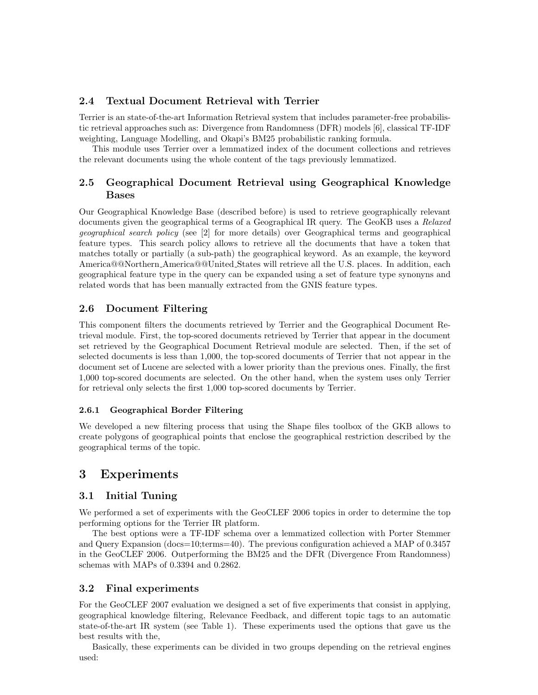### 2.4 Textual Document Retrieval with Terrier

Terrier is an state-of-the-art Information Retrieval system that includes parameter-free probabilistic retrieval approaches such as: Divergence from Randomness (DFR) models [6], classical TF-IDF weighting, Language Modelling, and Okapi's BM25 probabilistic ranking formula.

This module uses Terrier over a lemmatized index of the document collections and retrieves the relevant documents using the whole content of the tags previously lemmatized.

## 2.5 Geographical Document Retrieval using Geographical Knowledge Bases

Our Geographical Knowledge Base (described before) is used to retrieve geographically relevant documents given the geographical terms of a Geographical IR query. The GeoKB uses a Relaxed geographical search policy (see [2] for more details) over Geographical terms and geographical feature types. This search policy allows to retrieve all the documents that have a token that matches totally or partially (a sub-path) the geographical keyword. As an example, the keyword America@@Northern America@@United States will retrieve all the U.S. places. In addition, each geographical feature type in the query can be expanded using a set of feature type synonyns and related words that has been manually extracted from the GNIS feature types.

## 2.6 Document Filtering

This component filters the documents retrieved by Terrier and the Geographical Document Retrieval module. First, the top-scored documents retrieved by Terrier that appear in the document set retrieved by the Geographical Document Retrieval module are selected. Then, if the set of selected documents is less than 1,000, the top-scored documents of Terrier that not appear in the document set of Lucene are selected with a lower priority than the previous ones. Finally, the first 1,000 top-scored documents are selected. On the other hand, when the system uses only Terrier for retrieval only selects the first 1,000 top-scored documents by Terrier.

#### 2.6.1 Geographical Border Filtering

We developed a new filtering process that using the Shape files toolbox of the GKB allows to create polygons of geographical points that enclose the geographical restriction described by the geographical terms of the topic.

# 3 Experiments

#### 3.1 Initial Tuning

We performed a set of experiments with the GeoCLEF 2006 topics in order to determine the top performing options for the Terrier IR platform.

The best options were a TF-IDF schema over a lemmatized collection with Porter Stemmer and Query Expansion (docs=10;terms=40). The previous configuration achieved a MAP of 0.3457 in the GeoCLEF 2006. Outperforming the BM25 and the DFR (Divergence From Randomness) schemas with MAPs of 0.3394 and 0.2862.

#### 3.2 Final experiments

For the GeoCLEF 2007 evaluation we designed a set of five experiments that consist in applying, geographical knowledge filtering, Relevance Feedback, and different topic tags to an automatic state-of-the-art IR system (see Table 1). These experiments used the options that gave us the best results with the,

Basically, these experiments can be divided in two groups depending on the retrieval engines used: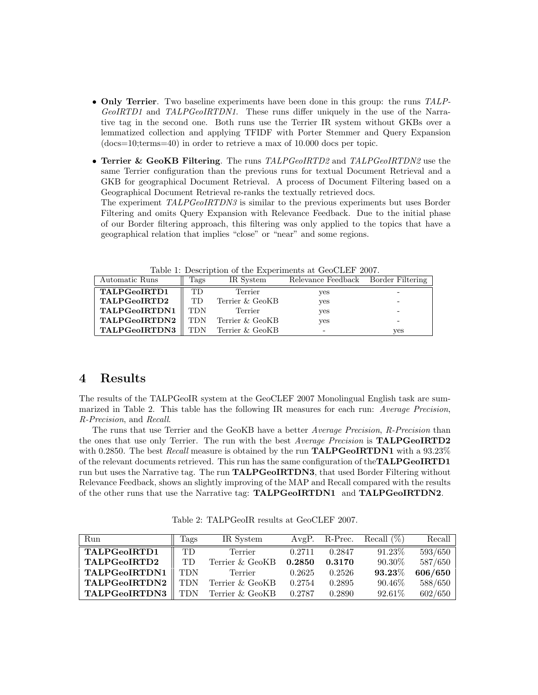- Only Terrier. Two baseline experiments have been done in this group: the runs TALP-GeoIRTD1 and TALPGeoIRTDN1. These runs differ uniquely in the use of the Narrative tag in the second one. Both runs use the Terrier IR system without GKBs over a lemmatized collection and applying TFIDF with Porter Stemmer and Query Expansion (docs=10;terms=40) in order to retrieve a max of 10.000 docs per topic.
- Terrier & GeoKB Filtering. The runs TALPGeoIRTD2 and TALPGeoIRTDN2 use the same Terrier configuration than the previous runs for textual Document Retrieval and a GKB for geographical Document Retrieval. A process of Document Filtering based on a Geographical Document Retrieval re-ranks the textually retrieved docs.

The experiment TALPGeoIRTDN3 is similar to the previous experiments but uses Border Filtering and omits Query Expansion with Relevance Feedback. Due to the initial phase of our Border filtering approach, this filtering was only applied to the topics that have a geographical relation that implies "close" or "near" and some regions.

| rable 1. Description of the Experiments at Geochlin 2001. |           |                 |                                     |     |  |  |  |  |  |
|-----------------------------------------------------------|-----------|-----------------|-------------------------------------|-----|--|--|--|--|--|
| Automatic Runs                                            | Tags      | IR System       | Relevance Feedback Border Filtering |     |  |  |  |  |  |
| TALPGeoIRTD1                                              | <b>TD</b> | Terrier         | yes                                 |     |  |  |  |  |  |
| TALPGeoIRTD2                                              | <b>TD</b> | Terrier & GeoKB | yes                                 |     |  |  |  |  |  |
| TALPGeoIRTDN1                                             | TDN       | Terrier         | yes                                 |     |  |  |  |  |  |
| TALPGeoIRTDN2                                             | TDN       | Terrier & GeoKB | yes                                 |     |  |  |  |  |  |
| TALPGeoIRTDN3                                             | TDN       | Terrier & GeoKB |                                     | ves |  |  |  |  |  |

Table 1: Description of the Experiments at GeoCLEF 2007.

## 4 Results

The results of the TALPGeoIR system at the GeoCLEF 2007 Monolingual English task are summarized in Table 2. This table has the following IR measures for each run: Average Precision, R-Precision, and Recall.

The runs that use Terrier and the GeoKB have a better Average Precision, R-Precision than the ones that use only Terrier. The run with the best *Average Precision* is **TALPGeoIRTD2** with 0.2850. The best Recall measure is obtained by the run **TALPGeoIRTDN1** with a  $93.23\%$ of the relevant documents retrieved. This run has the same configuration of the **TALPGeoIRTD1** run but uses the Narrative tag. The run **TALPGeoIRTDN3**, that used Border Filtering without Relevance Feedback, shows an slightly improving of the MAP and Recall compared with the results of the other runs that use the Narrative tag: TALPGeoIRTDN1 and TALPGeoIRTDN2.

Table 2: TALPGeoIR results at GeoCLEF 2007.

| Run           | Tags       | IR System       |        | AvgP. R-Prec. | Recall $(\%)$ | Recall  |
|---------------|------------|-----------------|--------|---------------|---------------|---------|
| TALPGeoIRTD1  | TD         | Terrier         | 0.2711 | 0.2847        | 91.23%        | 593/650 |
| TALPGeoIRTD2  | TD.        | Terrier & GeoKB | 0.2850 | 0.3170        | 90.30%        | 587/650 |
| TALPGeoIRTDN1 | <b>TDN</b> | Terrier         | 0.2625 | 0.2526        | 93.23%        | 606/650 |
| TALPGeoIRTDN2 | <b>TDN</b> | Terrier & GeoKB | 0.2754 | 0.2895        | 90.46%        | 588/650 |
| TALPGeoIRTDN3 | TDN        | Terrier & GeoKB | 0.2787 | 0.2890        | 92.61%        | 602/650 |